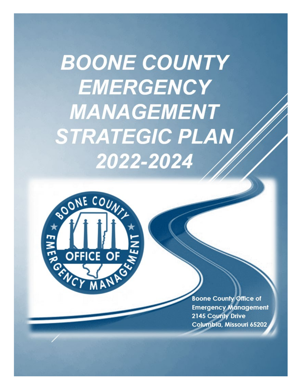**BOONE COUNTY EMERGENCY MANAGEMENT STRATEGIC PLAN** 2022-2024



**Boone County Office of Emergency Management** 2145 County Drive Columbia, Missouri 65202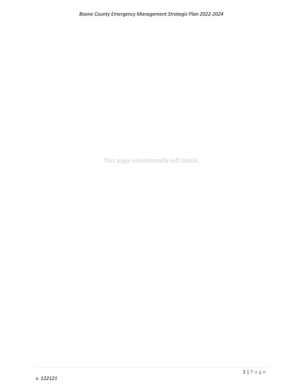**This page intentionally left blank.**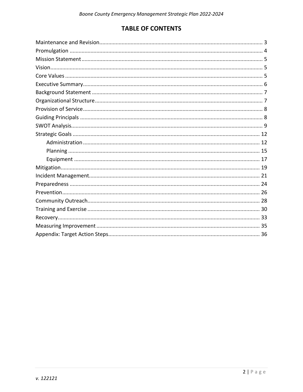### **TABLE OF CONTENTS**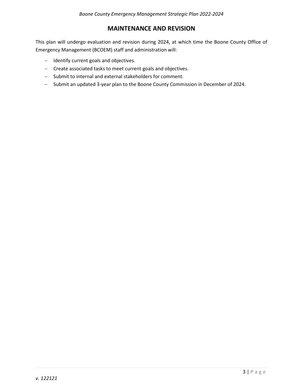#### **MAINTENANCE AND REVISION**

This plan will undergo evaluation and revision during 2024, at which time the Boone County Office of Emergency Management (BCOEM) staff and administration will:

- − Identify current goals and objectives.
- − Create associated tasks to meet current goals and objectives.
- − Submit to internal and external stakeholders for comment.
- − Submit an updated 3-year plan to the Boone County Commission in December of 2024.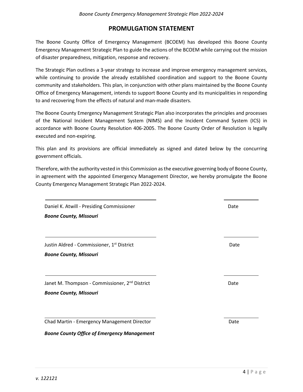#### **PROMULGATION STATEMENT**

The Boone County Office of Emergency Management (BCOEM) has developed this Boone County Emergency Management Strategic Plan to guide the actions of the BCOEM while carrying out the mission of disaster preparedness, mitigation, response and recovery.

The Strategic Plan outlines a 3-year strategy to increase and improve emergency management services, while continuing to provide the already established coordination and support to the Boone County community and stakeholders. This plan, in conjunction with other plans maintained by the Boone County Office of Emergency Management, intends to support Boone County and its municipalities in responding to and recovering from the effects of natural and man-made disasters.

The Boone County Emergency Management Strategic Plan also incorporates the principles and processes of the National Incident Management System (NIMS) and the Incident Command System (ICS) in accordance with Boone County Resolution 406-2005. The Boone County Order of Resolution is legally executed and non-expiring.

This plan and its provisions are official immediately as signed and dated below by the concurring government officials.

Therefore, with the authority vested in this Commission as the executive governing body of Boone County, in agreement with the appointed Emergency Management Director, we hereby promulgate the Boone County Emergency Management Strategic Plan 2022-2024.

Daniel K. Atwill - Presiding Commissioner Channel Communisties and Date Date *Boone County, Missouri*

Justin Aldred - Commissioner, 1<sup>st</sup> District **Date** Date

*Boone County, Missouri*

Janet M. Thompson - Commissioner, 2<sup>nd</sup> District Date Date

*Boone County, Missouri*

Chad Martin - Emergency Management Director **Channel Channel Cate** Date

*Boone County Office of Emergency Management*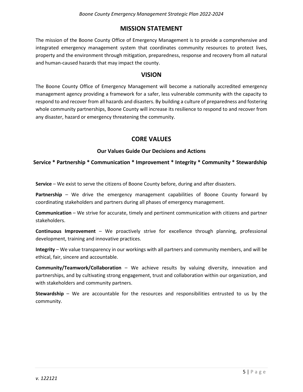#### **MISSION STATEMENT**

The mission of the Boone County Office of Emergency Management is to provide a comprehensive and integrated emergency management system that coordinates community resources to protect lives, property and the environment through mitigation, preparedness, response and recovery from all natural and human-caused hazards that may impact the county.

#### **VISION**

The Boone County Office of Emergency Management will become a nationally accredited emergency management agency providing a framework for a safer, less vulnerable community with the capacity to respond to and recover from all hazards and disasters. By building a culture of preparedness and fostering whole community partnerships, Boone County will increase its resilience to respond to and recover from any disaster, hazard or emergency threatening the community.

### **CORE VALUES**

#### **Our Values Guide Our Decisions and Actions**

#### **Service \* Partnership \* Communication \* Improvement \* Integrity \* Community \* Stewardship**

**Service** – We exist to serve the citizens of Boone County before, during and after disasters.

**Partnership** – We drive the emergency management capabilities of Boone County forward by coordinating stakeholders and partners during all phases of emergency management.

**Communication** – We strive for accurate, timely and pertinent communication with citizens and partner stakeholders.

**Continuous Improvement** – We proactively strive for excellence through planning, professional development, training and innovative practices.

**Integrity** – We value transparency in our workings with all partners and community members, and will be ethical, fair, sincere and accountable.

**Community/Teamwork/Collaboration** – We achieve results by valuing diversity, innovation and partnerships, and by cultivating strong engagement, trust and collaboration within our organization, and with stakeholders and community partners.

**Stewardship** – We are accountable for the resources and responsibilities entrusted to us by the community.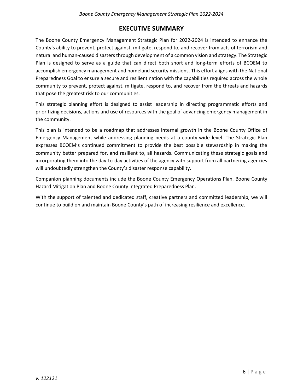#### **EXECUTIVE SUMMARY**

The Boone County Emergency Management Strategic Plan for 2022-2024 is intended to enhance the County's ability to prevent, protect against, mitigate, respond to, and recover from acts of terrorism and natural and human-caused disasters through development of a common vision and strategy. The Strategic Plan is designed to serve as a guide that can direct both short and long-term efforts of BCOEM to accomplish emergency management and homeland security missions. This effort aligns with the National Preparedness Goal to ensure a secure and resilient nation with the capabilities required across the whole community to prevent, protect against, mitigate, respond to, and recover from the threats and hazards that pose the greatest risk to our communities.

This strategic planning effort is designed to assist leadership in directing programmatic efforts and prioritizing decisions, actions and use of resources with the goal of advancing emergency management in the community.

This plan is intended to be a roadmap that addresses internal growth in the Boone County Office of Emergency Management while addressing planning needs at a county-wide level. The Strategic Plan expresses BCOEM's continued commitment to provide the best possible stewardship in making the community better prepared for, and resilient to, all hazards. Communicating these strategic goals and incorporating them into the day-to-day activities of the agency with support from all partnering agencies will undoubtedly strengthen the County's disaster response capability.

Companion planning documents include the Boone County Emergency Operations Plan, Boone County Hazard Mitigation Plan and Boone County Integrated Preparedness Plan.

With the support of talented and dedicated staff, creative partners and committed leadership, we will continue to build on and maintain Boone County's path of increasing resilience and excellence.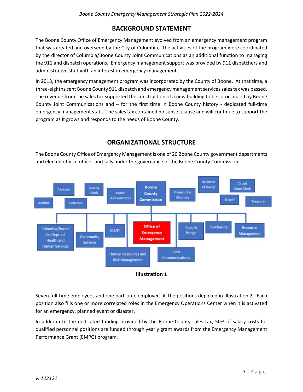### **BACKGROUND STATEMENT**

The Boone County Office of Emergency Management evolved from an emergency management program that was created and overseen by the City of Columbia. The activities of the program were coordinated by the director of Columbia/Boone County Joint Communications as an additional function to managing the 911 and dispatch operations. Emergency management support was provided by 911 dispatchers and administrative staff with an interest in emergency management.

In 2013, the emergency management program was incorporated by the County of Boone. At that time, a three-eighths cent Boone County 911 dispatch and emergency management services sales tax was passed. The revenue from the sales tax supported the construction of a new building to be co-occupied by Boone County Joint Communications and – for the first time in Boone County history - dedicated full-time emergency management staff. The sales tax contained no sunset clause and will continue to support the program as it grows and responds to the needs of Boone County.

### **ORGANIZATIONAL STRUCTURE**

The Boone County Office of Emergency Management is one of 20 Boone County government departments and elected official offices and falls under the governance of the Boone County Commission.





Seven full-time employees and one part-time employee fill the positions depicted in Illustration 2. Each position also fills one or more correlated roles in the Emergency Operations Center when it is activated for an emergency, planned event or disaster.

In addition to the dedicated funding provided by the Boone County sales tax, 50% of salary costs for qualified personnel positions are funded through yearly grant awards from the Emergency Management Performance Grant (EMPG) program.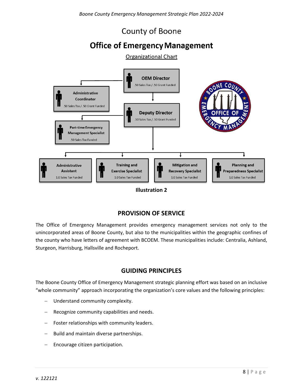# **County of Boone**

# **Office of Emergency Management**

#### **Organizational Chart**



#### **Illustration 2**

#### **PROVISION OF SERVICE**

The Office of Emergency Management provides emergency management services not only to the unincorporated areas of Boone County, but also to the municipalities within the geographic confines of the county who have letters of agreement with BCOEM. These municipalities include: Centralia, Ashland, Sturgeon, Harrisburg, Hallsville and Rocheport.

### **GUIDING PRINCIPLES**

The Boone County Office of Emergency Management strategic planning effort was based on an inclusive "whole community" approach incorporating the organization's core values and the following principles:

- Understand community complexity.
- − Recognize community capabilities and needs.
- − Foster relationships with community leaders.
- Build and maintain diverse partnerships.
- Encourage citizen participation.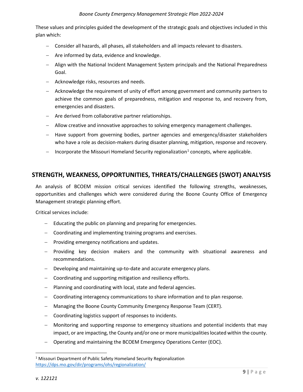#### *Boone County Emergency Management Strategic Plan 2022-2024*

These values and principles guided the development of the strategic goals and objectives included in this plan which:

- − Consider all hazards, all phases, all stakeholders and all impacts relevant to disasters.
- − Are informed by data, evidence and knowledge.
- − Align with the National Incident Management System principals and the National Preparedness Goal.
- − Acknowledge risks, resources and needs.
- − Acknowledge the requirement of unity of effort among government and community partners to achieve the common goals of preparedness, mitigation and response to, and recovery from, emergencies and disasters.
- − Are derived from collaborative partner relationships.
- − Allow creative and innovative approaches to solving emergency management challenges.
- − Have support from governing bodies, partner agencies and emergency/disaster stakeholders who have a role as decision-makers during disaster planning, mitigation, response and recovery.
- − Incorporate the Missouri Homeland Security regionalization<sup>[1](#page-9-0)</sup> concepts, where applicable.

### **STRENGTH, WEAKNESS, OPPORTUNITIES, THREATS/CHALLENGES (SWOT) ANALYSIS**

An analysis of BCOEM mission critical services identified the following strengths, weaknesses, opportunities and challenges which were considered during the Boone County Office of Emergency Management strategic planning effort.

Critical services include:

- − Educating the public on planning and preparing for emergencies.
- − Coordinating and implementing training programs and exercises.
- − Providing emergency notifications and updates.
- − Providing key decision makers and the community with situational awareness and recommendations.
- − Developing and maintaining up-to-date and accurate emergency plans.
- − Coordinating and supporting mitigation and resiliency efforts.
- − Planning and coordinating with local, state and federal agencies.
- − Coordinating interagency communications to share information and to plan response.
- − Managing the Boone County Community Emergency Response Team (CERT).
- − Coordinating logistics support of responses to incidents.
- − Monitoring and supporting response to emergency situations and potential incidents that may impact, or are impacting, the County and/or one or more municipalities located within the county.
- − Operating and maintaining the BCOEM Emergency Operations Center (EOC).

<span id="page-9-0"></span><sup>&</sup>lt;sup>1</sup> Missouri Department of Public Safety Homeland Security Regionalization <https://dps.mo.gov/dir/programs/ohs/regionalization/>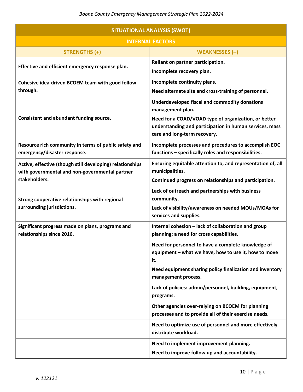| <b>SITUATIONAL ANALYSIS (SWOT)</b>                                                                                           |                                                                                                                                                                                                                      |  |  |  |
|------------------------------------------------------------------------------------------------------------------------------|----------------------------------------------------------------------------------------------------------------------------------------------------------------------------------------------------------------------|--|--|--|
| <b>INTERNAL FACTORS</b>                                                                                                      |                                                                                                                                                                                                                      |  |  |  |
| <b>STRENGTHS (+)</b>                                                                                                         | <b>WEAKNESSES (-)</b>                                                                                                                                                                                                |  |  |  |
| Effective and efficient emergency response plan.                                                                             | Reliant on partner participation.<br>Incomplete recovery plan.                                                                                                                                                       |  |  |  |
| Cohesive idea-driven BCOEM team with good follow<br>through.                                                                 | Incomplete continuity plans.<br>Need alternate site and cross-training of personnel.                                                                                                                                 |  |  |  |
| Consistent and abundant funding source.                                                                                      | Underdeveloped fiscal and commodity donations<br>management plan.<br>Need for a COAD/VOAD type of organization, or better<br>understanding and participation in human services, mass<br>care and long-term recovery. |  |  |  |
| Resource rich community in terms of public safety and<br>emergency/disaster response.                                        | Incomplete processes and procedures to accomplish EOC<br>functions - specifically roles and responsibilities.                                                                                                        |  |  |  |
| Active, effective (though still developing) relationships<br>with governmental and non-governmental partner<br>stakeholders. | Ensuring equitable attention to, and representation of, all<br>municipalities.<br>Continued progress on relationships and participation.                                                                             |  |  |  |
| Strong cooperative relationships with regional<br>surrounding jurisdictions.                                                 | Lack of outreach and partnerships with business<br>community.<br>Lack of visibility/awareness on needed MOUs/MOAs for<br>services and supplies.                                                                      |  |  |  |
| Significant progress made on plans, programs and<br>relationships since 2016.                                                | Internal cohesion - lack of collaboration and group<br>planning; a need for cross capabilities.                                                                                                                      |  |  |  |
|                                                                                                                              | Need for personnel to have a complete knowledge of<br>equipment - what we have, how to use it, how to move<br>it.<br>Need equipment sharing policy finalization and inventory<br>management process.                 |  |  |  |
|                                                                                                                              | Lack of policies: admin/personnel, building, equipment,<br>programs.                                                                                                                                                 |  |  |  |
|                                                                                                                              | Other agencies over-relying on BCOEM for planning<br>processes and to provide all of their exercise needs.                                                                                                           |  |  |  |
|                                                                                                                              | Need to optimize use of personnel and more effectively<br>distribute workload.                                                                                                                                       |  |  |  |
|                                                                                                                              | Need to implement improvement planning.<br>Need to improve follow up and accountability.                                                                                                                             |  |  |  |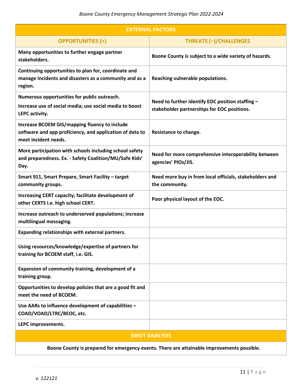| <b>EXTERNAL FACTORS</b>                                                                                                           |                                                                                                 |  |  |
|-----------------------------------------------------------------------------------------------------------------------------------|-------------------------------------------------------------------------------------------------|--|--|
| <b>OPPORTUNITIES (+)</b>                                                                                                          | <b>THREATS (-)/CHALLENGES</b>                                                                   |  |  |
| Many opportunities to further engage partner<br>stakeholders.                                                                     | Boone County is subject to a wide variety of hazards.                                           |  |  |
| Continuing opportunities to plan for, coordinate and<br>manage incidents and disasters as a community and as a<br>region.         | Reaching vulnerable populations.                                                                |  |  |
| Numerous opportunities for public outreach.<br>Increase use of social media; use social media to boost<br>LEPC activity.          | Need to further identify EOC position staffing -<br>stakeholder partnerships for EOC positions. |  |  |
| Increase BCOEM GIS/mapping fluency to include<br>software and app proficiency, and application of data to<br>meet incident needs. | Resistance to change.                                                                           |  |  |
| More participation with schools including school safety<br>and preparedness. Ex. - Safety Coalition/MU/Safe Kids'<br>Day.         | Need for more comprehensive interoperability between<br>agencies' PIOs/JIS.                     |  |  |
| Smart 911, Smart Prepare, Smart Facility - target<br>community groups.                                                            | Need more buy in from local officials, stakeholders and<br>the community.                       |  |  |
| Increasing CERT capacity; facilitate development of<br>other CERTS i.e. high school CERT.                                         | Poor physical layout of the EOC.                                                                |  |  |
| Increase outreach to underserved populations; increase<br>multilingual messaging.                                                 |                                                                                                 |  |  |
| Expanding relationships with external partners.                                                                                   |                                                                                                 |  |  |
| Using resources/knowledge/expertise of partners for<br>training for BCOEM staff, i.e. GIS.                                        |                                                                                                 |  |  |
| Expansion of community training, development of a<br>training group.                                                              |                                                                                                 |  |  |
| Opportunities to develop policies that are a good fit and<br>meet the need of BCOEM.                                              |                                                                                                 |  |  |
| Use AARs to influence development of capabilities -<br>COAD/VOAD/LTRC/BEOC, etc.                                                  |                                                                                                 |  |  |
| LEPC improvements.                                                                                                                |                                                                                                 |  |  |
|                                                                                                                                   | <b>SWOT ANALYSIS</b>                                                                            |  |  |
|                                                                                                                                   | Boone County is prepared for emergency events. There are attainable improvements possible.      |  |  |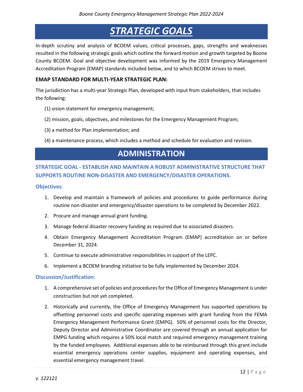# *STRATEGIC GOALS*

In-depth scrutiny and analysis of BCOEM values, critical processes, gaps, strengths and weaknesses resulted in the following strategic goals which outline the forward motion and growth targeted by Boone County BCOEM. Goal and objective development was informed by the 2019 Emergency Management Accreditation Program (EMAP) standards included below, and to which BCOEM strives to meet.

#### **EMAP STANDARD FOR MULTI-YEAR STRATEGIC PLAN:**

The jurisdiction has a multi-year Strategic Plan, developed with input from stakeholders, that includes the following:

- (1) vision statement for emergency management;
- (2) mission, goals, objectives, and milestones for the Emergency Management Program;
- (3) a method for Plan implementation; and
- (4) a maintenance process, which includes a method and schedule for evaluation and revision.

# **ADMINISTRATION**

### **STRATEGIC GOAL - ESTABLISH AND MAINTAIN A ROBUST ADMINISTRATIVE STRUCTURE THAT SUPPORTS ROUTINE NON-DISASTER AND EMERGENCY/DISASTER OPERATIONS.**

#### **Objectives**:

- 1. Develop and maintain a framework of policies and procedures to guide performance during routine non-disaster and emergency/disaster operations to be completed by December 2022.
- 2. Procure and manage annual grant funding.
- 3. Manage federal disaster recovery funding as required due to associated disasters.
- 4. Obtain Emergency Management Accreditation Program (EMAP) accreditation on or before December 31, 2024.
- 5. Continue to execute administrative responsibilities in support of the LEPC.
- 6. Implement a BCOEM branding initiative to be fully implemented by December 2024.

#### **Discussion/Justification:**

- 1. A comprehensive set of policies and procedures for the Office of Emergency Management is under construction but not yet completed.
- 2. Historically and currently, the Office of Emergency Management has supported operations by offsetting personnel costs and specific operating expenses with grant funding from the FEMA Emergency Management Performance Grant (EMPG). 50% of personnel costs for the Director, Deputy Director and Administrative Coordinator are covered through an annual application for EMPG funding which requires a 50% local match and required emergency management training by the funded employees. Additional expenses able to be reimbursed through this grant include essential emergency operations center supplies, equipment and operating expenses, and essential emergency management travel.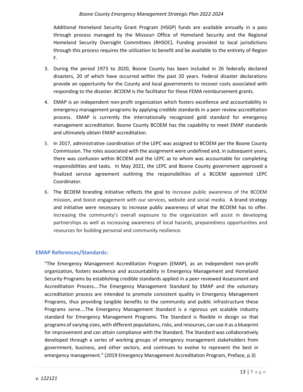#### *Boone County Emergency Management Strategic Plan 2022-2024*

Additional Homeland Security Grant Program (HSGP) funds are available annually in a pass through process managed by the Missouri Office of Homeland Security and the Regional Homeland Security Oversight Committees (RHSOC). Funding provided to local jurisdictions through this process requires the utilization to benefit and be available to the entirety of Region F.

- 3. During the period 1973 to 2020, Boone County has been included in 26 federally declared disasters, 20 of which have occurred within the past 20 years. Federal disaster declarations provide an opportunity for the County and local governments to recover costs associated with responding to the disaster. BCOEM is the facilitator for these FEMA reimbursement grants.
- 4. EMAP is an independent non-profit organization which fosters excellence and accountability in emergency management programs by applying credible standards in a peer review accreditation process. EMAP is currently the internationally recognized gold standard for emergency management accreditation. Boone County BCOEM has the capability to meet EMAP standards and ultimately obtain EMAP accreditation.
- 5. In 2017, administrative coordination of the LEPC was assigned to BCOEM per the Boone County Commission. The roles associated with the assignment were undefined and, in subsequent years, there was confusion within BCOEM and the LEPC as to whom was accountable for completing responsibilities and tasks. In May 2021, the LEPC and Boone County government approved a finalized service agreement outlining the responsibilities of a BCOEM appointed LEPC Coordinator.
- 6. The BCOEM branding initiative reflects the goal to increase public awareness of the BCOEM mission, and boost engagement with our services, website and social media. A brand strategy and initiative were necessary to increase public awareness of what the BCOEM has to offer. Increasing the community's overall exposure to the organization will assist in developing partnerships as well as increasing awareness of local hazards, preparedness opportunities and resources for building personal and community resilience.

#### **EMAP References/Standards:**

"The Emergency Management Accreditation Program (EMAP), as an independent non-profit organization, fosters excellence and accountability in Emergency Management and Homeland Security Programs by establishing credible standards applied in a peer reviewed Assessment and Accreditation Process….The Emergency Management Standard by EMAP and the voluntary accreditation process are intended to promote consistent quality in Emergency Management Programs, thus providing tangible benefits to the community and public infrastructure these Programs serve.…The Emergency Management Standard is a rigorous yet scalable industry standard for Emergency Management Programs. The Standard is flexible in design so that programs of varying sizes, with different populations, risks, and resources, can use it as a blueprint for improvement and can attain compliance with the Standard. The Standard was collaboratively developed through a series of working groups of emergency management stakeholders from government, business, and other sectors, and continues to evolve to represent the best in emergency management." (2019 Emergency Management Accreditation Program, Preface, p.3)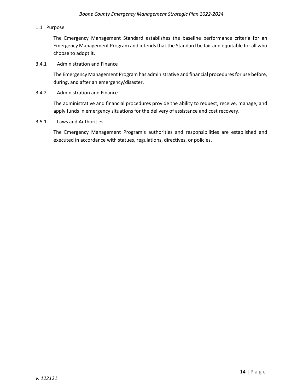#### 1.1 Purpose

The Emergency Management Standard establishes the baseline performance criteria for an Emergency Management Program and intends that the Standard be fair and equitable for all who choose to adopt it.

3.4.1 Administration and Finance

The Emergency Management Program has administrative and financial procedures for use before, during, and after an emergency/disaster.

3.4.2 Administration and Finance

The administrative and financial procedures provide the ability to request, receive, manage, and apply funds in emergency situations for the delivery of assistance and cost recovery.

3.5.1 Laws and Authorities

The Emergency Management Program's authorities and responsibilities are established and executed in accordance with statues, regulations, directives, or policies.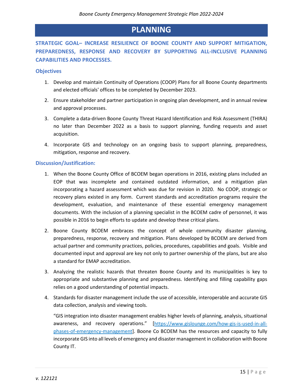### **PLANNING**

**STRATEGIC GOAL– INCREASE RESILIENCE OF BOONE COUNTY AND SUPPORT MITIGATION, PREPAREDNESS, RESPONSE AND RECOVERY BY SUPPORTING ALL-INCLUSIVE PLANNING CAPABILITIES AND PROCESSES.** 

#### **Objectives**

- 1. Develop and maintain Continuity of Operations (COOP) Plans for all Boone County departments and elected officials' offices to be completed by December 2023.
- 2. Ensure stakeholder and partner participation in ongoing plan development, and in annual review and approval processes.
- 3. Complete a data-driven Boone County Threat Hazard Identification and Risk Assessment (THIRA) no later than December 2022 as a basis to support planning, funding requests and asset acquisition.
- 4. Incorporate GIS and technology on an ongoing basis to support planning, preparedness, mitigation, response and recovery.

#### **Discussion/Justification:**

- 1. When the Boone County Office of BCOEM began operations in 2016, existing plans included an EOP that was incomplete and contained outdated information, and a mitigation plan incorporating a hazard assessment which was due for revision in 2020. No COOP, strategic or recovery plans existed in any form. Current standards and accreditation programs require the development, evaluation, and maintenance of these essential emergency management documents. With the inclusion of a planning specialist in the BCOEM cadre of personnel, it was possible in 2016 to begin efforts to update and develop these critical plans.
- 2. Boone County BCOEM embraces the concept of whole community disaster planning, preparedness, response, recovery and mitigation. Plans developed by BCOEM are derived from actual partner and community practices, policies, procedures, capabilities and goals. Visible and documented input and approval are key not only to partner ownership of the plans, but are also a standard for EMAP accreditation.
- 3. Analyzing the realistic hazards that threaten Boone County and its municipalities is key to appropriate and substantive planning and preparedness. Identifying and filling capability gaps relies on a good understanding of potential impacts.
- 4. Standards for disaster management include the use of accessible, interoperable and accurate GIS data collection, analysis and viewing tools.

"GIS integration into disaster management enables higher levels of planning, analysis, situational awareness, and recovery operations." [\[https://www.gislounge.com/how-gis-is-used-in-all](https://www.gislounge.com/how-gis-is-used-in-all-phases-of-emergency-management)[phases-of-emergency-management\]](https://www.gislounge.com/how-gis-is-used-in-all-phases-of-emergency-management). Boone Co BCOEM has the resources and capacity to fully incorporate GIS into all levels of emergency and disaster management in collaboration with Boone County IT.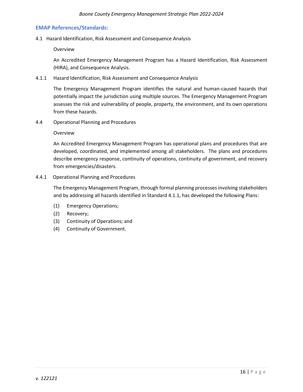#### **EMAP References/Standards:**

4.1 Hazard Identification, Risk Assessment and Consequence Analysis

Overview

An Accredited Emergency Management Program has a Hazard Identification, Risk Assessment (HIRA), and Consequence Analysis.

4.1.1 Hazard Identification, Risk Assessment and Consequence Analysis

The Emergency Management Program identifies the natural and human-caused hazards that potentially impact the jurisdiction using multiple sources. The Emergency Management Program assesses the risk and vulnerability of people, property, the environment, and its own operations from these hazards.

4.4 Operational Planning and Procedures

Overview

An Accredited Emergency Management Program has operational plans and procedures that are developed, coordinated, and implemented among all stakeholders. The plans and procedures describe emergency response, continuity of operations, continuity of government, and recovery from emergencies/disasters.

4.4.1 Operational Planning and Procedures

The Emergency Management Program, through formal planning processes involving stakeholders and by addressing all hazards identified in Standard 4.1.1, has developed the following Plans:

- (1) Emergency Operations;
- (2) Recovery;
- (3) Continuity of Operations; and
- (4) Continuity of Government.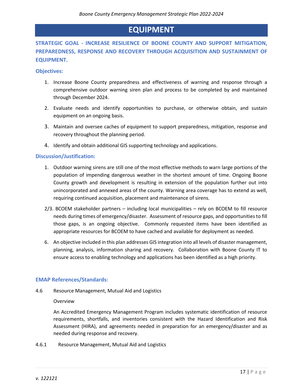# **EQUIPMENT**

**STRATEGIC GOAL - INCREASE RESILIENCE OF BOONE COUNTY AND SUPPORT MITIGATION, PREPAREDNESS, RESPONSE AND RECOVERY THROUGH ACQUISITION AND SUSTAINMENT OF EQUIPMENT.** 

#### **Objectives:**

- 1. Increase Boone County preparedness and effectiveness of warning and response through a comprehensive outdoor warning siren plan and process to be completed by and maintained through December 2024.
- 2. Evaluate needs and identify opportunities to purchase, or otherwise obtain, and sustain equipment on an ongoing basis.
- 3. Maintain and oversee caches of equipment to support preparedness, mitigation, response and recovery throughout the planning period.
- 4. Identify and obtain additional GIS supporting technology and applications.

#### **Discussion/Justification:**

- 1. Outdoor warning sirens are still one of the most effective methods to warn large portions of the population of impending dangerous weather in the shortest amount of time. Ongoing Boone County growth and development is resulting in extension of the population further out into unincorporated and annexed areas of the county. Warning area coverage has to extend as well, requiring continued acquisition, placement and maintenance of sirens.
- 2/3. BCOEM stakeholder partners including local municipalities rely on BCOEM to fill resource needs during times of emergency/disaster. Assessment of resource gaps, and opportunities to fill those gaps, is an ongoing objective. Commonly requested items have been identified as appropriate resources for BCOEM to have cached and available for deployment as needed.
- 6. An objective included in this plan addresses GIS integration into all levels of disaster management, planning, analysis, information sharing and recovery. Collaboration with Boone County IT to ensure access to enabling technology and applications has been identified as a high priority.

#### **EMAP References/Standards:**

4.6 Resource Management, Mutual Aid and Logistics

#### Overview

An Accredited Emergency Management Program includes systematic identification of resource requirements, shortfalls, and inventories consistent with the Hazard Identification and Risk Assessment (HIRA), and agreements needed in preparation for an emergency/disaster and as needed during response and recovery.

4.6.1 Resource Management, Mutual Aid and Logistics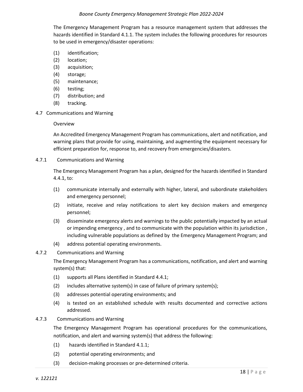#### *Boone County Emergency Management Strategic Plan 2022-2024*

The Emergency Management Program has a resource management system that addresses the hazards identified in Standard 4.1.1. The system includes the following procedures for resources to be used in emergency/disaster operations:

- (1) identification;
- (2) location;
- (3) acquisition;
- (4) storage;
- (5) maintenance;
- (6) testing;
- (7) distribution; and
- (8) tracking.
- 4.7 Communications and Warning

#### Overview

An Accredited Emergency Management Program has communications, alert and notification, and warning plans that provide for using, maintaining, and augmenting the equipment necessary for efficient preparation for, response to, and recovery from emergencies/disasters.

4.7.1 Communications and Warning

The Emergency Management Program has a plan, designed for the hazards identified in Standard 4.4.1, to:

- (1) communicate internally and externally with higher, lateral, and subordinate stakeholders and emergency personnel;
- (2) initiate, receive and relay notifications to alert key decision makers and emergency personnel;
- (3) disseminate emergency alerts and warnings to the public potentially impacted by an actual or impending emergency, and to communicate with the population within its jurisdiction, including vulnerable populations as defined by the Emergency Management Program; and
- (4) address potential operating environments.
- 4.7.2 Communications and Warning

The Emergency Management Program has a communications, notification, and alert and warning system(s) that:

- (1) supports all Plans identified in Standard 4.4.1;
- (2) includes alternative system(s) in case of failure of primary system(s);
- (3) addresses potential operating environments; and
- (4) is tested on an established schedule with results documented and corrective actions addressed.
- 4.7.3 Communications and Warning

The Emergency Management Program has operational procedures for the communications, notification, and alert and warning system(s) that address the following:

- (1) hazards identified in Standard 4.1.1;
- (2) potential operating environments; and
- (3) decision-making processes or pre-determined criteria.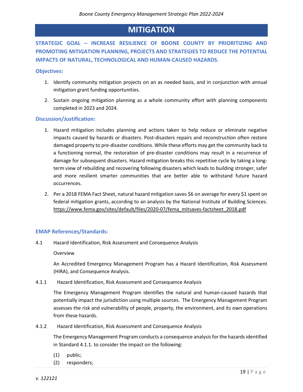# **MITIGATION**

**STRATEGIC GOAL – INCREASE RESILIENCE OF BOONE COUNTY BY PRIORITIZING AND PROMOTING MITIGATION PLANNING, PROJECTS AND STRATEGIES TO REDUCE THE POTENTIAL IMPACTS OF NATURAL, TECHNOLOGICAL AND HUMAN-CAUSED HAZARDS.**

#### **Objectives:**

- 1. Identify community mitigation projects on an as needed basis, and in conjunction with annual mitigation grant funding opportunities.
- 2. Sustain ongoing mitigation planning as a whole community effort with planning components completed in 2023 and 2024.

#### **Discussion/Justification:**

- 1. Hazard mitigation includes planning and actions taken to help reduce or eliminate negative impacts caused by hazards or disasters. Post-disasters repairs and reconstruction often restore damaged property to pre-disaster conditions. While these efforts may get the community back to a functioning normal, the restoration of pre-disaster conditions may result in a recurrence of damage for subsequent disasters. Hazard mitigation breaks this repetitive cycle by taking a longterm view of rebuilding and recovering following disasters which leads to building stronger, safer and more resilient smarter communities that are better able to withstand future hazard occurrences.
- 2. Per a 2018 FEMA Fact Sheet, natural hazard mitigation saves \$6 on average for every \$1 spent on federal mitigation grants, according to an analysis by the National Institute of Building Sciences. [https://www.fema.gov/sites/default/files/2020-07/fema\\_mitsaves-factsheet\\_2018.pdf](https://www.fema.gov/sites/default/files/2020-07/fema_mitsaves-factsheet_2018.pdf)

#### **EMAP References/Standards:**

4.1 Hazard Identification, Risk Assessment and Consequence Analysis

Overview

An Accredited Emergency Management Program has a Hazard Identification, Risk Assessment (HIRA), and Consequence Analysis.

4.1.1 Hazard Identification, Risk Assessment and Consequence Analysis

The Emergency Management Program identifies the natural and human-caused hazards that potentially impact the jurisdiction using multiple sources. The Emergency Management Program assesses the risk and vulnerability of people, property, the environment, and its own operations from these hazards.

4.1.2 Hazard Identification, Risk Assessment and Consequence Analysis

The Emergency Management Program conducts a consequence analysis for the hazards identified in Standard 4.1.1. to consider the impact on the following:

- (1) public;
- (2) responders;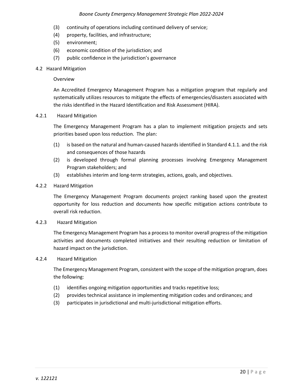#### *Boone County Emergency Management Strategic Plan 2022-2024*

- (3) continuity of operations including continued delivery of service;
- (4) property, facilities, and infrastructure;
- (5) environment;
- (6) economic condition of the jurisdiction; and
- (7) public confidence in the jurisdiction's governance
- 4.2 Hazard Mitigation

#### Overview

An Accredited Emergency Management Program has a mitigation program that regularly and systematically utilizes resources to mitigate the effects of emergencies/disasters associated with the risks identified in the Hazard Identification and Risk Assessment (HIRA).

#### 4.2.1 Hazard Mitigation

The Emergency Management Program has a plan to implement mitigation projects and sets priorities based upon loss reduction. The plan:

- (1) is based on the natural and human-caused hazards identified in Standard 4.1.1. and the risk and consequences of those hazards
- (2) is developed through formal planning processes involving Emergency Management Program stakeholders; and
- (3) establishes interim and long-term strategies, actions, goals, and objectives.

#### 4.2.2 Hazard Mitigation

The Emergency Management Program documents project ranking based upon the greatest opportunity for loss reduction and documents how specific mitigation actions contribute to overall risk reduction.

#### 4.2.3 Hazard Mitigation

The Emergency Management Program has a process to monitor overall progress of the mitigation activities and documents completed initiatives and their resulting reduction or limitation of hazard impact on the jurisdiction.

#### 4.2.4 Hazard Mitigation

The Emergency Management Program, consistent with the scope of the mitigation program, does the following:

- (1) identifies ongoing mitigation opportunities and tracks repetitive loss;
- (2) provides technical assistance in implementing mitigation codes and ordinances; and
- (3) participates in jurisdictional and multi-jurisdictional mitigation efforts.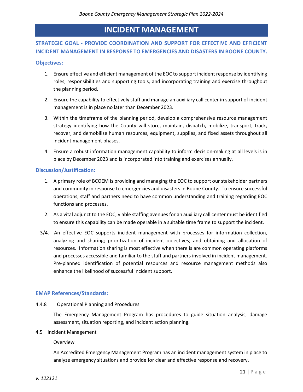### **INCIDENT MANAGEMENT**

### **STRATEGIC GOAL - PROVIDE COORDINATION AND SUPPORT FOR EFFECTIVE AND EFFICIENT INCIDENT MANAGEMENT IN RESPONSE TO EMERGENCIES AND DISASTERS IN BOONE COUNTY.**

#### **Objectives:**

- 1. Ensure effective and efficient management of the EOC to support incident response by identifying roles, responsibilities and supporting tools, and incorporating training and exercise throughout the planning period.
- 2. Ensure the capability to effectively staff and manage an auxiliary call center in support of incident management is in place no later than December 2023.
- 3. Within the timeframe of the planning period, develop a comprehensive resource management strategy identifying how the County will store, maintain, dispatch, mobilize, transport, track, recover, and demobilize human resources, equipment, supplies, and fixed assets throughout all incident management phases.
- 4. Ensure a robust information management capability to inform decision-making at all levels is in place by December 2023 and is incorporated into training and exercises annually.

#### **Discussion/Justification:**

- 1. A primary role of BCOEM is providing and managing the EOC to support our stakeholder partners and community in response to emergencies and disasters in Boone County. To ensure successful operations, staff and partners need to have common understanding and training regarding EOC functions and processes.
- 2. As a vital adjunct to the EOC, viable staffing avenues for an auxiliary call center must be identified to ensure this capability can be made operable in a suitable time frame to support the incident.
- 3/4. An effective EOC supports incident management with processes for information collection, analyzing and sharing; prioritization of incident objectives; and obtaining and allocation of resources. Information sharing is most effective when there is are common operating platforms and processes accessible and familiar to the staff and partners involved in incident management. Pre-planned identification of potential resources and resource management methods also enhance the likelihood of successful incident support.

#### **EMAP References/Standards:**

4.4.8 Operational Planning and Procedures

The Emergency Management Program has procedures to guide situation analysis, damage assessment, situation reporting, and incident action planning.

4.5 Incident Management

Overview

An Accredited Emergency Management Program has an incident management system in place to analyze emergency situations and provide for clear and effective response and recovery.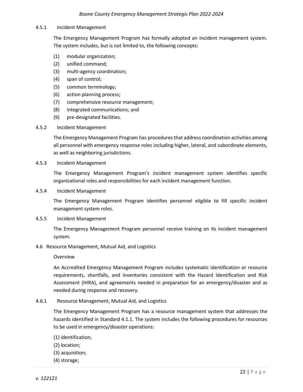#### 4.5.1 Incident Management

The Emergency Management Program has formally adopted an incident management system. The system includes, but is not limited to, the following concepts:

- (1) modular organization;
- (2) unified command;
- (3) multi-agency coordination;
- (4) span of control;
- (5) common terminology;
- (6) action planning process;
- (7) comprehensive resource management;
- (8) integrated communications; and
- (9) pre-designated facilities.

#### 4.5.2 Incident Management

The Emergency Management Program has procedures that address coordination activities among all personnel with emergency response roles including higher, lateral, and subordinate elements, as well as neighboring jurisdictions.

#### 4.5.3 Incident Management

The Emergency Management Program's incident management system identifies specific organizational roles and responsibilities for each incident management function.

#### 4.5.4 Incident Management

The Emergency Management Program identifies personnel eligible to fill specific incident management system roles.

#### 4.5.5 Incident Management

The Emergency Management Program personnel receive training on its incident management system.

#### 4.6 Resource Management, Mutual Aid, and Logistics

Overview

An Accredited Emergency Management Program includes systematic identification or resource requirements, shortfalls, and inventories consistent with the Hazard Identification and Risk Assessment (HIRA), and agreements needed in preparation for an emergency/disaster and as needed during response and recovery.

4.6.1 Resource Management, Mutual Aid, and Logistics

The Emergency Management Program has a resource management system that addresses the hazards identified in Standard 4.1.1. The system includes the following procedures for resources to be used in emergency/disaster operations:

- (1) identification;
- (2) location;
- (3) acquisition;
- (4) storage;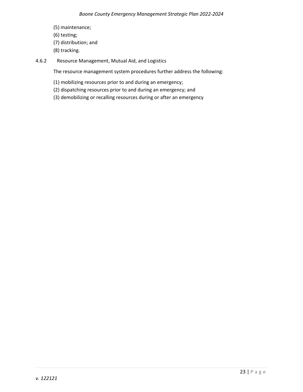- (5) maintenance;
- (6) testing;
- (7) distribution; and
- (8) tracking.
- 4.6.2 Resource Management, Mutual Aid, and Logistics

The resource management system procedures further address the following:

- (1) mobilizing resources prior to and during an emergency;
- (2) dispatching resources prior to and during an emergency; and
- (3) demobilizing or recalling resources during or after an emergency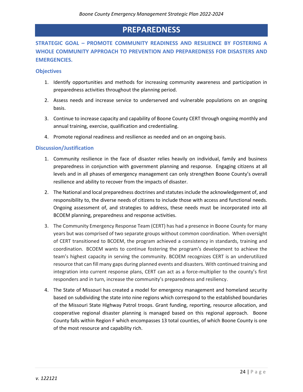### **PREPAREDNESS**

### **STRATEGIC GOAL – PROMOTE COMMUNITY READINESS AND RESILIENCE BY FOSTERING A WHOLE COMMUNITY APPROACH TO PREVENTION AND PREPAREDNESS FOR DISASTERS AND EMERGENCIES.**

#### **Objectives**

- 1. Identify opportunities and methods for increasing community awareness and participation in preparedness activities throughout the planning period.
- 2. Assess needs and increase service to underserved and vulnerable populations on an ongoing basis.
- 3. Continue to increase capacity and capability of Boone County CERT through ongoing monthly and annual training, exercise, qualification and credentialing.
- 4. Promote regional readiness and resilience as needed and on an ongoing basis.

#### **Discussion/Justification**

- 1. Community resilience in the face of disaster relies heavily on individual, family and business preparedness in conjunction with government planning and response. Engaging citizens at all levels and in all phases of emergency management can only strengthen Boone County's overall resilience and ability to recover from the impacts of disaster.
- 2. The National and local preparedness doctrines and statutes include the acknowledgement of, and responsibility to, the diverse needs of citizens to include those with access and functional needs. Ongoing assessment of, and strategies to address, these needs must be incorporated into all BCOEM planning, preparedness and response activities.
- 3. The Community Emergency Response Team (CERT) has had a presence in Boone County for many years but was comprised of two separate groups without common coordination. When oversight of CERT transitioned to BCOEM, the program achieved a consistency in standards, training and coordination. BCOEM wants to continue fostering the program's development to achieve the team's highest capacity in serving the community. BCOEM recognizes CERT is an underutilized resource that can fill many gaps during planned events and disasters. With continued training and integration into current response plans, CERT can act as a force-multiplier to the county's first responders and in turn, increase the community's preparedness and resiliency.
- 4. The State of Missouri has created a model for emergency management and homeland security based on subdividing the state into nine regions which correspond to the established boundaries of the Missouri State Highway Patrol troops. Grant funding, reporting, resource allocation, and cooperative regional disaster planning is managed based on this regional approach. Boone County falls within Region F which encompasses 13 total counties, of which Boone County is one of the most resource and capability rich.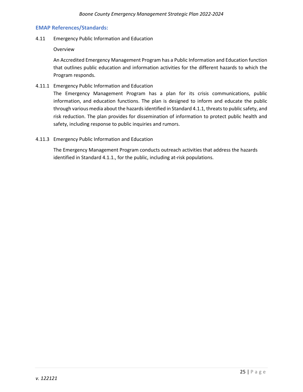#### **EMAP References/Standards:**

4.11 Emergency Public Information and Education

Overview

An Accredited Emergency Management Program has a Public Information and Education function that outlines public education and information activities for the different hazards to which the Program responds.

4.11.1 Emergency Public Information and Education

The Emergency Management Program has a plan for its crisis communications, public information, and education functions. The plan is designed to inform and educate the public through various media about the hazards identified in Standard 4.1.1, threats to public safety, and risk reduction. The plan provides for dissemination of information to protect public health and safety, including response to public inquiries and rumors.

4.11.3 Emergency Public Information and Education

The Emergency Management Program conducts outreach activities that address the hazards identified in Standard 4.1.1., for the public, including at-risk populations.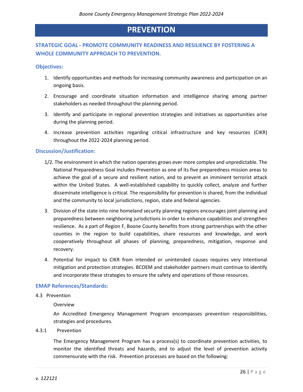### **PREVENTION**

### **STRATEGIC GOAL - PROMOTE COMMUNITY READINESS AND RESILIENCE BY FOSTERING A WHOLE COMMUNITY APPROACH TO PREVENTION.**

#### **Objectives:**

- 1. Identify opportunities and methods for increasing community awareness and participation on an ongoing basis.
- 2. Encourage and coordinate situation information and intelligence sharing among partner stakeholders as needed throughout the planning period.
- 3. Identify and participate in regional prevention strategies and initiatives as opportunities arise during the planning period.
- 4. Increase prevention activities regarding critical infrastructure and key resources (CIKR) throughout the 2022-2024 planning period.

#### **Discussion/Justification:**

- 1/2. The environment in which the nation operates grows ever more complex and unpredictable. The National Preparedness Goal includes Prevention as one of its five preparedness mission areas to achieve the goal of a secure and resilient nation, and to prevent an imminent terrorist attack within the United States. A well-established capability to quickly collect, analyze and further disseminate intelligence is critical. The responsibility for prevention is shared, from the individual and the community to local jurisdictions, region, state and federal agencies.
- 3. Division of the state into nine homeland security planning regions encourages joint planning and preparedness between neighboring jurisdictions in order to enhance capabilities and strengthen resilience. As a part of Region F, Boone County benefits from strong partnerships with the other counties in the region to build capabilities, share resources and knowledge, and work cooperatively throughout all phases of planning, preparedness, mitigation, response and recovery.
- 4. Potential for impact to CIKR from intended or unintended causes requires very intentional mitigation and protection strategies. BCOEM and stakeholder partners must continue to identify and incorporate these strategies to ensure the safety and operations of those resources.

#### **EMAP References/Standards:**

4.3 Prevention

#### Overview

An Accredited Emergency Management Program encompasses prevention responsibilities, strategies and procedures.

#### 4.3.1 Prevention

The Emergency Management Program has a process(s) to coordinate prevention activities, to monitor the identified threats and hazards, and to adjust the level of prevention activity commensurate with the risk. Prevention processes are based on the following: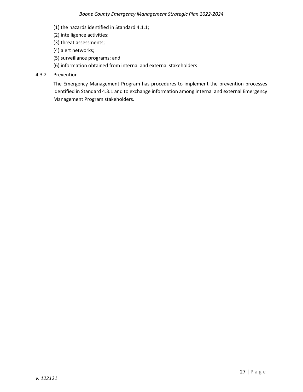(1) the hazards identified in Standard 4.1.1;

- (2) intelligence activities;
- (3) threat assessments;
- (4) alert networks;
- (5) surveillance programs; and
- (6) information obtained from internal and external stakeholders

#### 4.3.2 Prevention

The Emergency Management Program has procedures to implement the prevention processes identified in Standard 4.3.1 and to exchange information among internal and external Emergency Management Program stakeholders.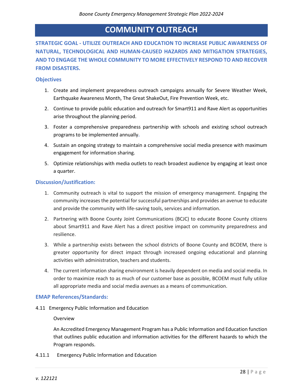# **COMMUNITY OUTREACH**

**STRATEGIC GOAL - UTILIZE OUTREACH AND EDUCATION TO INCREASE PUBLIC AWARENESS OF NATURAL, TECHNOLOGICAL AND HUMAN-CAUSED HAZARDS AND MITIGATION STRATEGIES, AND TO ENGAGE THE WHOLE COMMUNITY TO MORE EFFECTIVELY RESPOND TO AND RECOVER FROM DISASTERS.**

#### **Objectives**

- 1. Create and implement preparedness outreach campaigns annually for Severe Weather Week, Earthquake Awareness Month, The Great ShakeOut, Fire Prevention Week, etc.
- 2. Continue to provide public education and outreach for Smart911 and Rave Alert as opportunities arise throughout the planning period.
- 3. Foster a comprehensive preparedness partnership with schools and existing school outreach programs to be implemented annually**.**
- 4. Sustain an ongoing strategy to maintain a comprehensive social media presence with maximum engagement for information sharing.
- 5. Optimize relationships with media outlets to reach broadest audience by engaging at least once a quarter.

#### **Discussion/Justification:**

- 1. Community outreach is vital to support the mission of emergency management. Engaging the community increases the potential for successful partnerships and provides an avenue to educate and provide the community with life-saving tools, services and information.
- 2. Partnering with Boone County Joint Communications (BCJC) to educate Boone County citizens about Smart911 and Rave Alert has a direct positive impact on community preparedness and resilience.
- 3. While a partnership exists between the school districts of Boone County and BCOEM, there is greater opportunity for direct impact through increased ongoing educational and planning activities with administration, teachers and students.
- 4. The current information sharing environment is heavily dependent on media and social media. In order to maximize reach to as much of our customer base as possible, BCOEM must fully utilize all appropriate media and social media avenues as a means of communication.

#### **EMAP References/Standards:**

4.11 Emergency Public Information and Education

Overview

An Accredited Emergency Management Program has a Public Information and Education function that outlines public education and information activities for the different hazards to which the Program responds.

4.11.1 Emergency Public Information and Education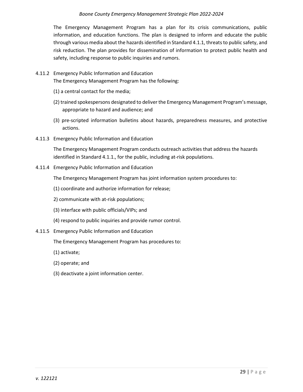#### *Boone County Emergency Management Strategic Plan 2022-2024*

The Emergency Management Program has a plan for its crisis communications, public information, and education functions. The plan is designed to inform and educate the public through various media about the hazards identified in Standard 4.1.1, threats to public safety, and risk reduction. The plan provides for dissemination of information to protect public health and safety, including response to public inquiries and rumors.

4.11.2 Emergency Public Information and Education

The Emergency Management Program has the following:

- (1) a central contact for the media;
- (2) trained spokespersons designated to deliver the Emergency Management Program's message, appropriate to hazard and audience; and
- (3) pre-scripted information bulletins about hazards, preparedness measures, and protective actions.
- 4.11.3 Emergency Public Information and Education

The Emergency Management Program conducts outreach activities that address the hazards identified in Standard 4.1.1., for the public, including at-risk populations.

4.11.4 Emergency Public Information and Education

The Emergency Management Program has joint information system procedures to:

- (1) coordinate and authorize information for release;
- 2) communicate with at-risk populations;
- (3) interface with public officials/VIPs; and
- (4) respond to public inquiries and provide rumor control.
- 4.11.5 Emergency Public Information and Education

The Emergency Management Program has procedures to:

- (1) activate;
- (2) operate; and
- (3) deactivate a joint information center.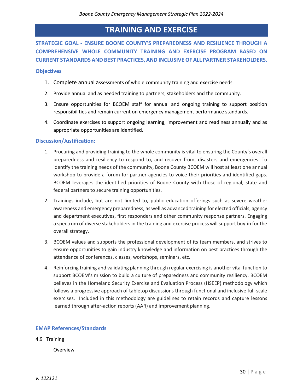# **TRAINING AND EXERCISE**

**STRATEGIC GOAL - ENSURE BOONE COUNTY'S PREPAREDNESS AND RESILIENCE THROUGH A COMPREHENSIVE WHOLE COMMUNITY TRAINING AND EXERCISE PROGRAM BASED ON CURRENT STANDARDS AND BEST PRACTICES, AND INCLUSIVE OF ALL PARTNER STAKEHOLDERS.** 

#### **Objectives**

- 1. Complete annual assessments of whole community training and exercise needs.
- 2. Provide annual and as needed training to partners, stakeholders and the community.
- 3. Ensure opportunities for BCOEM staff for annual and ongoing training to support position responsibilities and remain current on emergency management performance standards.
- 4. Coordinate exercises to support ongoing learning, improvement and readiness annually and as appropriate opportunities are identified.

#### **Discussion/Justification:**

- 1. Procuring and providing training to the whole community is vital to ensuring the County's overall preparedness and resiliency to respond to, and recover from, disasters and emergencies. To identify the training needs of the community, Boone County BCOEM will host at least one annual workshop to provide a forum for partner agencies to voice their priorities and identified gaps. BCOEM leverages the identified priorities of Boone County with those of regional, state and federal partners to secure training opportunities.
- 2. Trainings include, but are not limited to, public education offerings such as severe weather awareness and emergency preparedness, as well as advanced training for elected officials, agency and department executives, first responders and other community response partners. Engaging a spectrum of diverse stakeholders in the training and exercise process will support buy-in for the overall strategy.
- 3. BCOEM values and supports the professional development of its team members, and strives to ensure opportunities to gain industry knowledge and information on best practices through the attendance of conferences, classes, workshops, seminars, etc.
- 4. Reinforcing training and validating planning through regular exercising is another vital function to support BCOEM's mission to build a culture of preparedness and community resiliency. BCOEM believes in the Homeland Security Exercise and Evaluation Process (HSEEP) methodology which follows a progressive approach of tabletop discussions through functional and inclusive full-scale exercises. Included in this methodology are guidelines to retain records and capture lessons learned through after-action reports (AAR) and improvement planning.

#### **EMAP References/Standards**

4.9 Training

Overview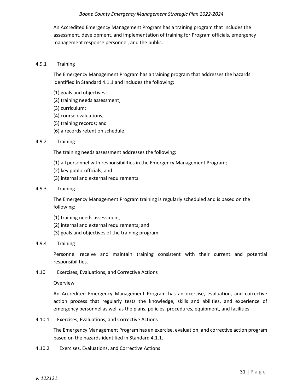#### *Boone County Emergency Management Strategic Plan 2022-2024*

An Accredited Emergency Management Program has a training program that includes the assessment, development, and implementation of training for Program officials, emergency management response personnel, and the public.

#### 4.9.1 Training

The Emergency Management Program has a training program that addresses the hazards identified in Standard 4.1.1 and includes the following:

- (1) goals and objectives;
- (2) training needs assessment;
- (3) curriculum;
- (4) course evaluations;
- (5) training records; and
- (6) a records retention schedule.

#### 4.9.2 Training

The training needs assessment addresses the following:

(1) all personnel with responsibilities in the Emergency Management Program;

- (2) key public officials; and
- (3) internal and external requirements.
- 4.9.3 Training

The Emergency Management Program training is regularly scheduled and is based on the following:

- (1) training needs assessment;
- (2) internal and external requirements; and
- (3) goals and objectives of the training program.
- 4.9.4 Training

Personnel receive and maintain training consistent with their current and potential responsibilities.

4.10 Exercises, Evaluations, and Corrective Actions

Overview

An Accredited Emergency Management Program has an exercise, evaluation, and corrective action process that regularly tests the knowledge, skills and abilities, and experience of emergency personnel as well as the plans, policies, procedures, equipment, and facilities.

4.10.1 Exercises, Evaluations, and Corrective Actions

The Emergency Management Program has an exercise, evaluation, and corrective action program based on the hazards identified in Standard 4.1.1.

4.10.2 Exercises, Evaluations, and Corrective Actions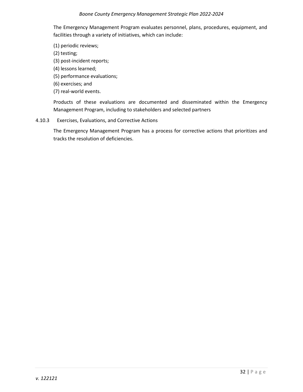#### *Boone County Emergency Management Strategic Plan 2022-2024*

The Emergency Management Program evaluates personnel, plans, procedures, equipment, and facilities through a variety of initiatives, which can include:

- (1) periodic reviews;
- (2) testing;
- (3) post-incident reports;
- (4) lessons learned;
- (5) performance evaluations;
- (6) exercises; and
- (7) real-world events.

Products of these evaluations are documented and disseminated within the Emergency Management Program, including to stakeholders and selected partners

#### 4.10.3 Exercises, Evaluations, and Corrective Actions

The Emergency Management Program has a process for corrective actions that prioritizes and tracks the resolution of deficiencies.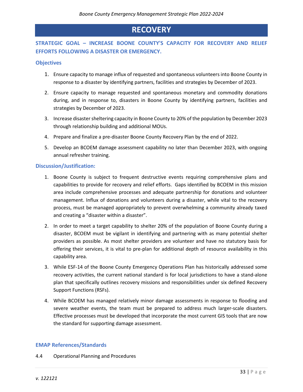### **RECOVERY**

### **STRATEGIC GOAL – INCREASE BOONE COUNTY'S CAPACITY FOR RECOVERY AND RELIEF EFFORTS FOLLOWING A DISASTER OR EMERGENCY.**

#### **Objectives**

- 1. Ensure capacity to manage influx of requested and spontaneous volunteers into Boone County in response to a disaster by identifying partners, facilities and strategies by December of 2023.
- 2. Ensure capacity to manage requested and spontaneous monetary and commodity donations during, and in response to, disasters in Boone County by identifying partners, facilities and strategies by December of 2023.
- 3. Increase disaster sheltering capacity in Boone County to 20% of the population by December 2023 through relationship building and additional MOUs.
- 4. Prepare and finalize a pre-disaster Boone County Recovery Plan by the end of 2022.
- 5. Develop an BCOEM damage assessment capability no later than December 2023, with ongoing annual refresher training.

#### **Discussion/Justification:**

- 1. Boone County is subject to frequent destructive events requiring comprehensive plans and capabilities to provide for recovery and relief efforts. Gaps identified by BCOEM in this mission area include comprehensive processes and adequate partnership for donations and volunteer management. Influx of donations and volunteers during a disaster, while vital to the recovery process, must be managed appropriately to prevent overwhelming a community already taxed and creating a "disaster within a disaster".
- 2. In order to meet a target capability to shelter 20% of the population of Boone County during a disaster, BCOEM must be vigilant in identifying and partnering with as many potential shelter providers as possible. As most shelter providers are volunteer and have no statutory basis for offering their services, it is vital to pre-plan for additional depth of resource availability in this capability area.
- 3. While ESF-14 of the Boone County Emergency Operations Plan has historically addressed some recovery activities, the current national standard is for local jurisdictions to have a stand-alone plan that specifically outlines recovery missions and responsibilities under six defined Recovery Support Functions (RSFs).
- 4. While BCOEM has managed relatively minor damage assessments in response to flooding and severe weather events, the team must be prepared to address much larger-scale disasters. Effective processes must be developed that incorporate the most current GIS tools that are now the standard for supporting damage assessment.

#### **EMAP References/Standards**

4.4 Operational Planning and Procedures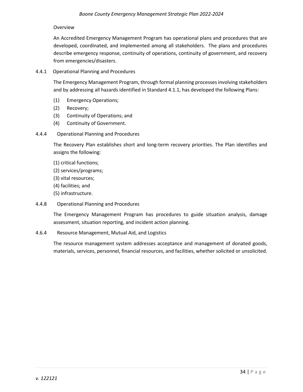#### Overview

An Accredited Emergency Management Program has operational plans and procedures that are developed, coordinated, and implemented among all stakeholders. The plans and procedures describe emergency response, continuity of operations, continuity of government, and recovery from emergencies/disasters.

#### 4.4.1 Operational Planning and Procedures

The Emergency Management Program, through formal planning processes involving stakeholders and by addressing all hazards identified in Standard 4.1.1, has developed the following Plans:

- (1) Emergency Operations;
- (2) Recovery;
- (3) Continuity of Operations; and
- (4) Continuity of Government.
- 4.4.4 Operational Planning and Procedures

The Recovery Plan establishes short and long-term recovery priorities. The Plan identifies and assigns the following:

- (1) critical functions;
- (2) services/programs;
- (3) vital resources;
- (4) facilities; and
- (5) infrastructure.
- 4.4.8 Operational Planning and Procedures

The Emergency Management Program has procedures to guide situation analysis, damage assessment, situation reporting, and incident action planning.

4.6.4 Resource Management, Mutual Aid, and Logistics

The resource management system addresses acceptance and management of donated goods, materials, services, personnel, financial resources, and facilities, whether solicited or unsolicited.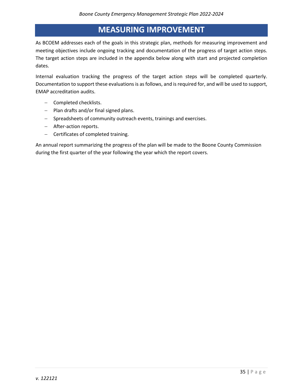# **MEASURING IMPROVEMENT**

As BCOEM addresses each of the goals in this strategic plan, methods for measuring improvement and meeting objectives include ongoing tracking and documentation of the progress of target action steps. The target action steps are included in the appendix below along with start and projected completion dates.

Internal evaluation tracking the progress of the target action steps will be completed quarterly. Documentation to support these evaluations is as follows, and is required for, and will be used to support, EMAP accreditation audits.

- − Completed checklists.
- − Plan drafts and/or final signed plans.
- − Spreadsheets of community outreach events, trainings and exercises.
- − After-action reports.
- − Certificates of completed training.

An annual report summarizing the progress of the plan will be made to the Boone County Commission during the first quarter of the year following the year which the report covers.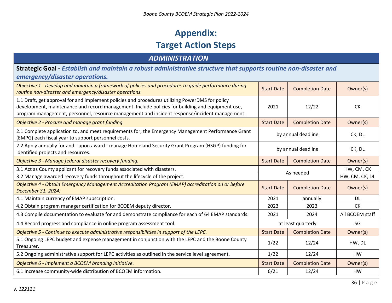# **Appendix: Target Action Steps**

# *ADMINISTRATION*

| Strategic Goal - Establish and maintain a robust administrative structure that supports routine non-disaster and                                                                                                                                                                                     |                   |                        |                 |  |  |
|------------------------------------------------------------------------------------------------------------------------------------------------------------------------------------------------------------------------------------------------------------------------------------------------------|-------------------|------------------------|-----------------|--|--|
| emergency/disaster operations.                                                                                                                                                                                                                                                                       |                   |                        |                 |  |  |
| Objective 1 - Develop and maintain a framework of policies and procedures to guide performance during<br>routine non-disaster and emergency/disaster operations.                                                                                                                                     | <b>Start Date</b> | <b>Completion Date</b> | Owner(s)        |  |  |
| 1.1 Draft, get approval for and implement policies and procedures utilizing PowerDMS for policy<br>development, maintenance and record management. Include policies for building and equipment use,<br>program management, personnel, resource management and incident response/incident management. | 2021              | 12/22                  | <b>CK</b>       |  |  |
| Objective 2 - Procure and manage grant funding.                                                                                                                                                                                                                                                      | <b>Start Date</b> | <b>Completion Date</b> | Owner(s)        |  |  |
| 2.1 Complete application to, and meet requirements for, the Emergency Management Performance Grant<br>(EMPG) each fiscal year to support personnel costs.                                                                                                                                            |                   | by annual deadline     | CK, DL          |  |  |
| 2.2 Apply annually for and - upon award - manage Homeland Security Grant Program (HSGP) funding for<br>identified projects and resources.                                                                                                                                                            |                   | by annual deadline     | CK, DL          |  |  |
| Objective 3 - Manage federal disaster recovery funding.                                                                                                                                                                                                                                              | <b>Start Date</b> | <b>Completion Date</b> | Owner(s)        |  |  |
| 3.1 Act as County applicant for recovery funds associated with disasters.                                                                                                                                                                                                                            |                   |                        | HW, CM, CK      |  |  |
| 3.2 Manage awarded recovery funds throughout the lifecycle of the project.                                                                                                                                                                                                                           |                   | As needed              |                 |  |  |
| Objective 4 - Obtain Emergency Management Accreditation Program (EMAP) accreditation on or before<br>December 31, 2024.                                                                                                                                                                              | <b>Start Date</b> | <b>Completion Date</b> | Owner(s)        |  |  |
| 4.1 Maintain currency of EMAP subscription.                                                                                                                                                                                                                                                          | 2021              | annually               | DL              |  |  |
| 4.2 Obtain program manager certification for BCOEM deputy director.                                                                                                                                                                                                                                  | 2023              | 2023                   | <b>CK</b>       |  |  |
| 4.3 Compile documentation to evaluate for and demonstrate compliance for each of 64 EMAP standards.                                                                                                                                                                                                  | 2021              | 2024                   | All BCOEM staff |  |  |
| 4.4 Record progress and compliance in online program assessment tool.                                                                                                                                                                                                                                |                   | at least quarterly     | SG              |  |  |
| Objective 5 - Continue to execute administrative responsibilities in support of the LEPC.                                                                                                                                                                                                            | <b>Start Date</b> | <b>Completion Date</b> | Owner(s)        |  |  |
| 5.1 Ongoing LEPC budget and expense management in conjunction with the LEPC and the Boone County<br>Treasurer.                                                                                                                                                                                       | 1/22              | 12/24                  | HW, DL          |  |  |
| 5.2 Ongoing administrative support for LEPC activities as outlined in the service level agreement.                                                                                                                                                                                                   | 1/22              | 12/24                  | <b>HW</b>       |  |  |
| Objective 6 - Implement a BCOEM branding initiative.                                                                                                                                                                                                                                                 | <b>Start Date</b> | <b>Completion Date</b> | Owner(s)        |  |  |
| 6.1 Increase community-wide distribution of BCOEM information.                                                                                                                                                                                                                                       | 6/21              | 12/24                  | <b>HW</b>       |  |  |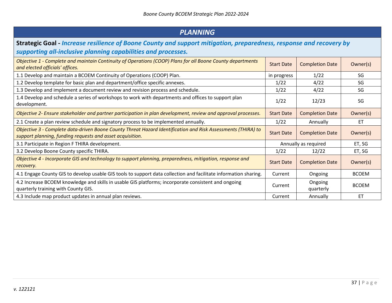# *PLANNING*

### **Strategic Goal -** *Increase resilience of Boone County and support mitigation, preparedness, response and recovery by supporting all-inclusive planning capabilities and processes.*

| Objective 1 - Complete and maintain Continuity of Operations (COOP) Plans for all Boone County departments<br>and elected officials' offices.                             | <b>Start Date</b> | <b>Completion Date</b> | Owner(s)     |
|---------------------------------------------------------------------------------------------------------------------------------------------------------------------------|-------------------|------------------------|--------------|
| 1.1 Develop and maintain a BCOEM Continuity of Operations (COOP) Plan.                                                                                                    | in progress       | 1/22                   | SG           |
| 1.2 Develop template for basic plan and department/office specific annexes.                                                                                               | 1/22              | 4/22                   | SG           |
| 1.3 Develop and implement a document review and revision process and schedule.                                                                                            | 1/22              | 4/22                   | SG           |
| 1.4 Develop and schedule a series of workshops to work with departments and offices to support plan<br>development.                                                       | 1/22              | 12/23                  | SG           |
| Objective 2- Ensure stakeholder and partner participation in plan development, review and approval processes.                                                             | <b>Start Date</b> | <b>Completion Date</b> | Owner(s)     |
| 2.1 Create a plan review schedule and signatory process to be implemented annually.                                                                                       | 1/22              | Annually               | ET           |
| Objective 3 - Complete data-driven Boone County Threat Hazard Identification and Risk Assessments (THIRA) to<br>support planning, funding requests and asset acquisition. | <b>Start Date</b> | <b>Completion Date</b> | Owner(s)     |
| 3.1 Participate in Region F THIRA development.                                                                                                                            |                   | Annually as required   |              |
| 3.2 Develop Boone County specific THIRA.                                                                                                                                  | 1/22              | 12/22                  | ET, SG       |
| Objective 4 - Incorporate GIS and technology to support planning, preparedness, mitigation, response and<br>recovery.                                                     | <b>Start Date</b> | <b>Completion Date</b> | Owner(s)     |
| 4.1 Engage County GIS to develop usable GIS tools to support data collection and facilitate information sharing.                                                          | Current           | Ongoing                | <b>BCOEM</b> |
| 4.2 Increase BCOEM knowledge and skills in usable GIS platforms; incorporate consistent and ongoing<br>quarterly training with County GIS.                                | Current           | Ongoing<br>quarterly   | <b>BCOEM</b> |
| 4.3 Include map product updates in annual plan reviews.                                                                                                                   | Current           | Annually               | EТ           |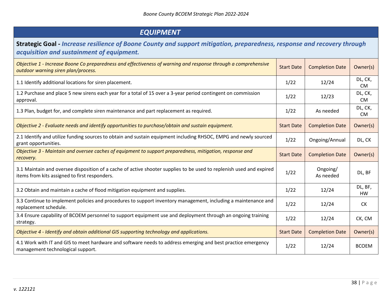# *EQUIPMENT*

| Strategic Goal - Increase resilience of Boone County and support mitigation, preparedness, response and recovery through<br>acquisition and sustainment of equipment. |                   |                        |                      |  |
|-----------------------------------------------------------------------------------------------------------------------------------------------------------------------|-------------------|------------------------|----------------------|--|
| Objective 1 - Increase Boone Co preparedness and effectiveness of warning and response through a comprehensive<br>outdoor warning siren plan/process.                 | <b>Start Date</b> | <b>Completion Date</b> | Owner(s)             |  |
| 1.1 Identify additional locations for siren placement.                                                                                                                | 1/22              | 12/24                  | DL, CK,<br><b>CM</b> |  |
| 1.2 Purchase and place 5 new sirens each year for a total of 15 over a 3-year period contingent on commission<br>approval.                                            | 1/22              | 12/23                  | DL, CK,<br><b>CM</b> |  |
| 1.3 Plan, budget for, and complete siren maintenance and part replacement as required.                                                                                | 1/22              | As needed              | DL, CK,<br><b>CM</b> |  |
| Objective 2 - Evaluate needs and identify opportunities to purchase/obtain and sustain equipment.                                                                     | <b>Start Date</b> | <b>Completion Date</b> | Owner(s)             |  |
| 2.1 Identify and utilize funding sources to obtain and sustain equipment including RHSOC, EMPG and newly sourced<br>grant opportunities.                              | 1/22              | Ongoing/Annual         | DL, CK               |  |
| Objective 3 - Maintain and oversee caches of equipment to support preparedness, mitigation, response and<br>recovery.                                                 | <b>Start Date</b> | <b>Completion Date</b> | Owner(s)             |  |
| 3.1 Maintain and oversee disposition of a cache of active shooter supplies to be used to replenish used and expired<br>items from kits assigned to first responders.  | 1/22              | Ongoing/<br>As needed  | DL, BF               |  |
| 3.2 Obtain and maintain a cache of flood mitigation equipment and supplies.                                                                                           | 1/22              | 12/24                  | DL, BF,<br><b>HW</b> |  |
| 3.3 Continue to implement policies and procedures to support inventory management, including a maintenance and<br>replacement schedule.                               | 1/22              | 12/24                  | <b>CK</b>            |  |
| 3.4 Ensure capability of BCOEM personnel to support equipment use and deployment through an ongoing training<br>strategy.                                             | 1/22              | 12/24                  | CK, CM               |  |
| Objective 4 - Identify and obtain additional GIS supporting technology and applications.                                                                              | <b>Start Date</b> | <b>Completion Date</b> | Owner(s)             |  |
| 4.1 Work with IT and GIS to meet hardware and software needs to address emerging and best practice emergency<br>management technological support.                     | 1/22              | 12/24                  | <b>BCOEM</b>         |  |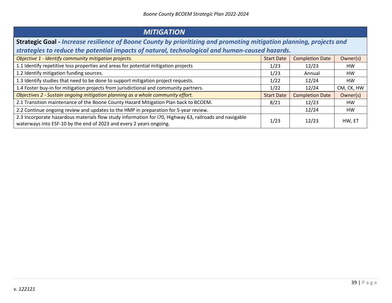### *MITIGATION*

### **Strategic Goal -** *Increase resilience of Boone County by prioritizing and promoting mitigation planning, projects and strategies to reduce the potential impacts of natural, technological and human-caused hazards.*

| Objective 1 - Identify community mitigation projects.                                                                                                                          | <b>Start Date</b> | <b>Completion Date</b> | Owner(s)   |
|--------------------------------------------------------------------------------------------------------------------------------------------------------------------------------|-------------------|------------------------|------------|
| 1.1 Identify repetitive loss properties and areas for potential mitigation projects                                                                                            | 1/23              | 12/23                  | <b>HW</b>  |
| 1.2 Identify mitigation funding sources.                                                                                                                                       | 1/23              | Annual                 | <b>HW</b>  |
| 1.3 Identify studies that need to be done to support mitigation project requests.                                                                                              | 1/22              | 12/24                  | HW.        |
| 1.4 Foster buy-in for mitigation projects from jurisdictional and community partners.                                                                                          | 1/22              | 12/24                  | CM, CK, HW |
| Objectives 2 - Sustain ongoing mitigation planning as a whole community effort.                                                                                                | <b>Start Date</b> | <b>Completion Date</b> | Owner(s)   |
| 2.1 Transition maintenance of the Boone County Hazard Mitigation Plan back to BCOEM.                                                                                           | 8/21              | 12/23                  | HW.        |
| 2.2 Continue ongoing review and updates to the HMP in preparation for 5-year review.                                                                                           |                   | 12/24                  | <b>HW</b>  |
| 2.3 Incorporate hazardous materials flow study information for I70, Highway 63, railroads and navigable<br>waterways into ESF-10 by the end of 2023 and every 2 years ongoing. | 1/23              | 12/23                  | HW, ET     |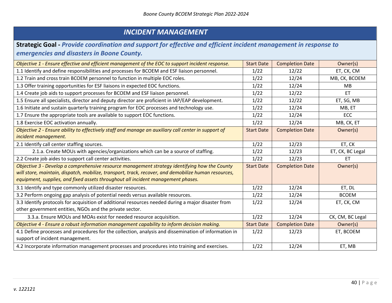# *INCIDENT MANAGEMENT*

| Strategic Goal - Provide coordination and support for effective and efficient incident management in response to |                   |                        |                  |  |  |
|------------------------------------------------------------------------------------------------------------------|-------------------|------------------------|------------------|--|--|
| emergencies and disasters in Boone County.                                                                       |                   |                        |                  |  |  |
| Objective 1 - Ensure effective and efficient management of the EOC to support incident response.                 | <b>Start Date</b> | <b>Completion Date</b> | Owner(s)         |  |  |
| 1.1 Identify and define responsibilities and processes for BCOEM and ESF liaison personnel.                      | 1/22              | 12/22                  | ET, CK, CM       |  |  |
| 1.2 Train and cross train BCOEM personnel to function in multiple EOC roles.                                     | 1/22              | 12/24                  | MB, CK, BCOEM    |  |  |
| 1.3 Offer training opportunities for ESF liaisons in expected EOC functions.                                     | 1/22              | 12/24                  | MB               |  |  |
| 1.4 Create job aids to support processes for BCOEM and ESF liaison personnel.                                    | 1/22              | 12/22                  | ET               |  |  |
| 1.5 Ensure all specialists, director and deputy director are proficient in IAP/EAP development.                  | 1/22              | 12/22                  | ET, SG, MB       |  |  |
| 1.6 Initiate and sustain quarterly training program for EOC processes and technology use.                        | 1/22              | 12/24                  | MB, ET           |  |  |
| 1.7 Ensure the appropriate tools are available to support EOC functions.                                         | 1/22              | 12/24                  | <b>ECC</b>       |  |  |
| 1.8 Exercise EOC activation annually.                                                                            | 1/22              | 12/24                  | MB, CK, ET       |  |  |
| Objective 2 - Ensure ability to effectively staff and manage an auxiliary call center in support of              | <b>Start Date</b> | <b>Completion Date</b> | Owner(s)         |  |  |
| incident management.                                                                                             |                   |                        |                  |  |  |
| 2.1 Identify call center staffing sources.                                                                       | 1/22              | 12/23                  | ET, CK           |  |  |
| 2.1.a. Create MOUs with agencies/organizations which can be a source of staffing.                                | 1/22              | 12/23                  | ET, CK, BC Legal |  |  |
| 2.2 Create job aides to support call center activities.                                                          | 1/22              | 12/23                  | ET               |  |  |
| Objective 3 - Develop a comprehensive resource management strategy identifying how the County                    | <b>Start Date</b> | <b>Completion Date</b> | Owner(s)         |  |  |
| will store, maintain, dispatch, mobilize, transport, track, recover, and demobilize human resources,             |                   |                        |                  |  |  |
| equipment, supplies, and fixed assets throughout all incident management phases.                                 |                   |                        |                  |  |  |
| 3.1 Identify and type commonly utilized disaster resources.                                                      | 1/22              | 12/24                  | ET, DL           |  |  |
| 3.2 Perform ongoing gap analysis of potential needs versus available resources.                                  | 1/22              | 12/24                  | <b>BCOEM</b>     |  |  |
| 3.3 Identify protocols for acquisition of additional resources needed during a major disaster from               | 1/22              | 12/24                  | ET, CK, CM       |  |  |
| other government entities, NGOs and the private sector.                                                          |                   |                        |                  |  |  |
| 3.3.a. Ensure MOUs and MOAs exist for needed resource acquisition.                                               | 1/22              | 12/24                  | CK, CM, BC Legal |  |  |
| Objective 4 - Ensure a robust information management capability to inform decision making.                       | <b>Start Date</b> | <b>Completion Date</b> | Owner(s)         |  |  |
| 4.1 Define processes and procedures for the collection, analysis and dissemination of information in             | 1/22              | 12/23                  | ET, BCOEM        |  |  |
| support of incident management.                                                                                  |                   |                        |                  |  |  |
| 4.2 Incorporate information management processes and procedures into training and exercises.                     | 1/22              | 12/24                  | ET, MB           |  |  |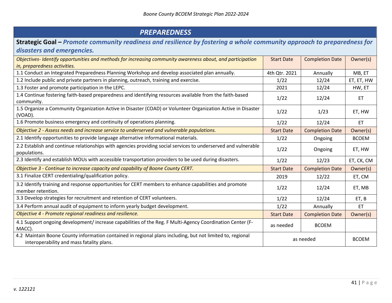# *PREPAREDNESS*

| Strategic Goal – Promote community readiness and resilience by fostering a whole community approach to preparedness for                                |                   |                        |              |  |
|--------------------------------------------------------------------------------------------------------------------------------------------------------|-------------------|------------------------|--------------|--|
| disasters and emergencies.                                                                                                                             |                   |                        |              |  |
| Objectives-Identify opportunities and methods for increasing community awareness about, and participation                                              | <b>Start Date</b> | <b>Completion Date</b> | Owner(s)     |  |
| in, preparedness activities.                                                                                                                           |                   |                        |              |  |
| 1.1 Conduct an Integrated Preparedness Planning Workshop and develop associated plan annually.                                                         | 4th Qtr. 2021     | Annually               | MB, ET       |  |
| 1.2 Include public and private partners in planning, outreach, training and exercise.                                                                  | 1/22              | 12/24                  | ET, ET, HW   |  |
| 1.3 Foster and promote participation in the LEPC.                                                                                                      | 2021              | 12/24                  | HW, ET       |  |
| 1.4 Continue fostering faith-based preparedness and identifying resources available from the faith-based<br>community.                                 | 1/22              | 12/24                  | ET           |  |
| 1.5 Organize a Community Organization Active in Disaster (COAD) or Volunteer Organization Active in Disaster<br>(VOAD).                                | 1/22              | 1/23                   | ET, HW       |  |
| 1.6 Promote business emergency and continuity of operations planning.                                                                                  | 1/22              | 12/24                  | ET           |  |
| Objective 2 - Assess needs and increase service to underserved and vulnerable populations.                                                             | <b>Start Date</b> | <b>Completion Date</b> | Owner(s)     |  |
| 2.1 Identify opportunities to provide language alternative informational materials.                                                                    | 1/22              | Ongoing                | <b>BCOEM</b> |  |
| 2.2 Establish and continue relationships with agencies providing social services to underserved and vulnerable<br>populations.                         | 1/22              | Ongoing                | ET, HW       |  |
| 2.3 Identify and establish MOUs with accessible transportation providers to be used during disasters.                                                  | 1/22              | 12/23                  | ET, CK, CM   |  |
| Objective 3 - Continue to increase capacity and capability of Boone County CERT.                                                                       | <b>Start Date</b> | <b>Completion Date</b> | Owner(s)     |  |
| 3.1 Finalize CERT credentialing/qualification policy.                                                                                                  | 2019              | 12/22                  | ET, CM       |  |
| 3.2 Identify training and response opportunities for CERT members to enhance capabilities and promote<br>member retention.                             | 1/22              | 12/24                  | ET, MB       |  |
| 3.3 Develop strategies for recruitment and retention of CERT volunteers.                                                                               | 1/22              | 12/24                  | ET, B        |  |
| 3.4 Perform annual audit of equipment to inform yearly budget development.                                                                             | 1/22              | Annually               | ET           |  |
| Objective 4 - Promote regional readiness and resilience.                                                                                               | <b>Start Date</b> | <b>Completion Date</b> | Owner(s)     |  |
| 4.1 Support ongoing development/increase capabilities of the Reg. F Multi-Agency Coordination Center (F-<br>MACC).                                     | as needed         | <b>BCOEM</b>           |              |  |
| 4.2 Maintain Boone County information contained in regional plans including, but not limited to, regional<br>interoperability and mass fatality plans. |                   | as needed              | <b>BCOEM</b> |  |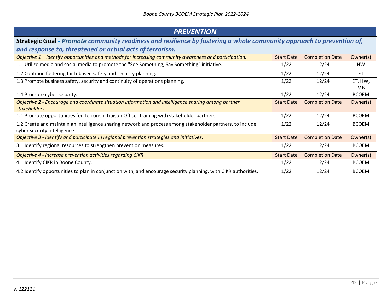| <b>PREVENTION</b>                                                                                                                         |                   |                        |                      |  |
|-------------------------------------------------------------------------------------------------------------------------------------------|-------------------|------------------------|----------------------|--|
| Strategic Goal - Promote community readiness and resilience by fostering a whole community approach to prevention of,                     |                   |                        |                      |  |
| and response to, threatened or actual acts of terrorism.                                                                                  |                   |                        |                      |  |
| Objective 1 – Identify opportunities and methods for increasing community awareness and participation.                                    | <b>Start Date</b> | <b>Completion Date</b> | Owner(s)             |  |
| 1.1 Utilize media and social media to promote the "See Something, Say Something" initiative.                                              | 1/22              | 12/24                  | HW                   |  |
| 1.2 Continue fostering faith-based safety and security planning.                                                                          | 1/22              | 12/24                  | ET                   |  |
| 1.3 Promote business safety, security and continuity of operations planning.                                                              | 1/22              | 12/24                  | ET, HW,<br><b>MB</b> |  |
| 1.4 Promote cyber security.                                                                                                               | 1/22              | 12/24                  | <b>BCOEM</b>         |  |
| Objective 2 - Encourage and coordinate situation information and intelligence sharing among partner<br>stakeholders.                      | <b>Start Date</b> | <b>Completion Date</b> | Owner(s)             |  |
| 1.1 Promote opportunities for Terrorism Liaison Officer training with stakeholder partners.                                               | 1/22              | 12/24                  | <b>BCOEM</b>         |  |
| 1.2 Create and maintain an intelligence sharing network and process among stakeholder partners, to include<br>cyber security intelligence | 1/22              | 12/24                  | <b>BCOEM</b>         |  |
| Objective 3 - Identify and participate in regional prevention strategies and initiatives.                                                 | <b>Start Date</b> | <b>Completion Date</b> | Owner(s)             |  |
| 3.1 Identify regional resources to strengthen prevention measures.                                                                        | 1/22              | 12/24                  | <b>BCOEM</b>         |  |
| Objective 4 - Increase prevention activities regarding CIKR                                                                               | <b>Start Date</b> | <b>Completion Date</b> | Owner(s)             |  |
| 4.1 Identify CIKR in Boone County.                                                                                                        | 1/22              | 12/24                  | <b>BCOEM</b>         |  |
| 4.2 Identify opportunities to plan in conjunction with, and encourage security planning, with CIKR authorities.                           | 1/22              | 12/24                  | <b>BCOEM</b>         |  |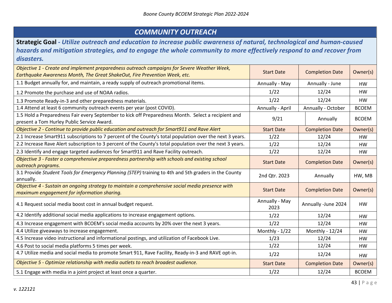### *COMMUNITY OUTREACH*

**Strategic Goal** *- Utilize outreach and education to increase public awareness of natural, technological and human-caused hazards and mitigation strategies, and to engage the whole community to more effectively respond to and recover from disasters.* 

| Objective 1 - Create and implement preparedness outreach campaigns for Severe Weather Week,<br>Earthquake Awareness Month, The Great ShakeOut, Fire Prevention Week, etc. | <b>Start Date</b>      | <b>Completion Date</b> | Owner(s)     |
|---------------------------------------------------------------------------------------------------------------------------------------------------------------------------|------------------------|------------------------|--------------|
| 1.1 Budget annually for, and maintain, a ready supply of outreach promotional items.                                                                                      | Annually - May         | Annually - June        | <b>HW</b>    |
| 1.2 Promote the purchase and use of NOAA radios.                                                                                                                          | 1/22                   | 12/24                  | HW           |
| 1.3 Promote Ready-in-3 and other preparedness materials.                                                                                                                  | 1/22                   | 12/24                  | <b>HW</b>    |
| 1.4 Attend at least 6 community outreach events per year (post COVID).                                                                                                    | Annually - April       | Annually - October     | <b>BCOEM</b> |
| 1.5 Hold a Preparedness Fair every September to kick off Preparedness Month. Select a recipient and<br>present a Tom Hurley Public Service Award.                         | 9/21                   | Annually               | <b>BCOEM</b> |
| Objective 2 - Continue to provide public education and outreach for Smart911 and Rave Alert                                                                               | <b>Start Date</b>      | <b>Completion Date</b> | Owner(s)     |
| 2.1 Increase Smart911 subscriptions to 7 percent of the County's total population over the next 3 years.                                                                  | 1/22                   | 12/24                  | <b>HW</b>    |
| 2.2 Increase Rave Alert subscription to 3 percent of the County's total population over the next 3 years.                                                                 | 1/22                   | 12/24                  | HW           |
| 2.3 Identify and engage targeted audiences for Smart911 and Rave Facility outreach.                                                                                       | 1/22                   | 12/24                  | HW           |
| Objective 3 - Foster a comprehensive preparedness partnership with schools and existing school<br>outreach programs.                                                      | <b>Start Date</b>      | <b>Completion Date</b> | Owner(s)     |
| 3.1 Provide Student Tools for Emergency Planning (STEP) training to 4th and 5th graders in the County<br>annually.                                                        | 2nd Qtr. 2023          | Annually               | HW, MB       |
| Objective 4 - Sustain an ongoing strategy to maintain a comprehensive social media presence with<br>maximum engagement for information sharing.                           | <b>Start Date</b>      | <b>Completion Date</b> | Owner(s)     |
| 4.1 Request social media boost cost in annual budget request.                                                                                                             | Annually - May<br>2023 | Annually -June 2024    | <b>HW</b>    |
| 4.2 Identify additional social media applications to increase engagement options.                                                                                         | 1/22                   | 12/24                  | <b>HW</b>    |
| 4.3 Increase engagement with BCOEM's social media accounts by 20% over the next 3 years.                                                                                  | 1/22                   | 12/24                  | HW           |
| 4.4 Utilize giveaways to increase engagement.                                                                                                                             | Monthly - 1/22         | Monthly - 12/24        | <b>HW</b>    |
| 4.5 Increase video instructional and informational postings, and utilization of Facebook Live.                                                                            | 1/23                   | 12/24                  | HW           |
| 4.6 Post to social media platforms 5 times per week.                                                                                                                      | 1/22                   | 12/24                  | HW           |
| 4.7 Utilize media and social media to promote Smart 911, Rave Facility, Ready-in-3 and RAVE opt-in.                                                                       | 1/22                   | 12/24                  | HW           |
| Objective 5 - Optimize relationship with media outlets to reach broadest audience.                                                                                        | <b>Start Date</b>      | <b>Completion Date</b> | Owner(s)     |
| 5.1 Engage with media in a joint project at least once a quarter.                                                                                                         | 1/22                   | 12/24                  | <b>BCOEM</b> |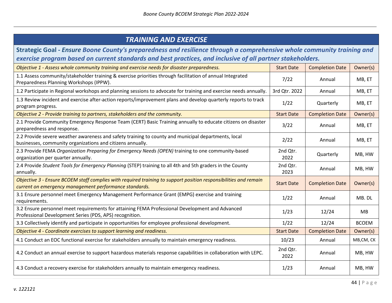### *TRAINING AND EXERCISE*

**Strategic Goal -** *Ensure Boone County's preparedness and resilience through a comprehensive whole community training and exercise program based on current standards and best practices, and inclusive of all partner stakeholders.* 

| Objective 1 - Assess whole community training and exercise needs for disaster preparedness.                                                                                | <b>Start Date</b> | <b>Completion Date</b> | Owner(s)     |
|----------------------------------------------------------------------------------------------------------------------------------------------------------------------------|-------------------|------------------------|--------------|
| 1.1 Assess community/stakeholder training & exercise priorities through facilitation of annual Integrated<br>Preparedness Planning Workshops (IPPW).                       | 7/22              | Annual                 | MB, ET       |
| 1.2 Participate in Regional workshops and planning sessions to advocate for training and exercise needs annually.                                                          | 3rd Qtr. 2022     | Annual                 | MB, ET       |
| 1.3 Review incident and exercise after-action reports/improvement plans and develop quarterly reports to track<br>program progress.                                        | 1/22              | Quarterly              | MB, ET       |
| Objective 2 - Provide training to partners, stakeholders and the community.                                                                                                | <b>Start Date</b> | <b>Completion Date</b> | Owner(s)     |
| 2.1 Provide Community Emergency Response Team (CERT) Basic Training annually to educate citizens on disaster<br>preparedness and response.                                 | 3/22              | Annual                 | MB, ET       |
| 2.2 Provide severe weather awareness and safety training to county and municipal departments, local<br>businesses, community organizations and citizens annually.          | 2/22              | Annual                 | MB, ET       |
| 2.3 Provide FEMA Organization Preparing for Emergency Needs (OPEN) training to one community-based<br>organization per quarter annually.                                   | 2nd Qtr.<br>2022  | Quarterly              | MB, HW       |
| 2.4 Provide Student Tools for Emergency Planning (STEP) training to all 4th and 5th graders in the County<br>annually.                                                     | 2nd Qtr.<br>2023  | Annual                 | MB, HW       |
| Objective 3 - Ensure BCOEM staff complies with required training to support position responsibilities and remain<br>current on emergency management performance standards. | <b>Start Date</b> | <b>Completion Date</b> | Owner(s)     |
| 3.1 Ensure personnel meet Emergency Management Performance Grant (EMPG) exercise and training<br>requirements.                                                             | 1/22              | Annual                 | MB. DL       |
| 3.2 Ensure personnel meet requirements for attaining FEMA Professional Development and Advanced<br>Professional Development Series (PDS, APS) recognition.                 | 1/23              | 12/24                  | MB           |
| 3.3 Collectively identify and participate in opportunities for employee professional development.                                                                          | 1/22              | 12/24                  | <b>BCOEM</b> |
| Objective 4 - Coordinate exercises to support learning and readiness.                                                                                                      | <b>Start Date</b> | <b>Completion Date</b> | Owner(s)     |
| 4.1 Conduct an EOC functional exercise for stakeholders annually to maintain emergency readiness.                                                                          | 10/23             | Annual                 | MB,CM, CK    |
| 4.2 Conduct an annual exercise to support hazardous materials response capabilities in collaboration with LEPC.                                                            | 2nd Qtr.<br>2022  | Annual                 | MB, HW       |
| 4.3 Conduct a recovery exercise for stakeholders annually to maintain emergency readiness.                                                                                 | 1/23              | Annual                 | MB, HW       |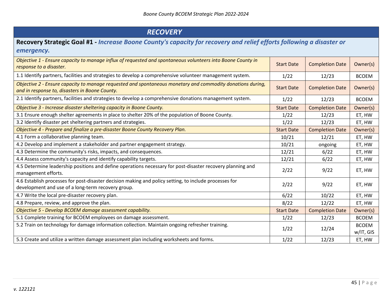# *RECOVERY*

### **Recovery Strategic Goal #1 -** *Increase Boone County's capacity for recovery and relief efforts following a disaster or emergency.*

| Objective 1 - Ensure capacity to manage influx of requested and spontaneous volunteers into Boone County in<br>response to a disaster.                       | <b>Start Date</b> | <b>Completion Date</b> | Owner(s)                  |
|--------------------------------------------------------------------------------------------------------------------------------------------------------------|-------------------|------------------------|---------------------------|
| 1.1 Identify partners, facilities and strategies to develop a comprehensive volunteer management system.                                                     | 1/22              | 12/23                  | <b>BCOEM</b>              |
| Objective 2 - Ensure capacity to manage requested and spontaneous monetary and commodity donations during,<br>and in response to, disasters in Boone County. | <b>Start Date</b> | <b>Completion Date</b> | Owner(s)                  |
| 2.1 Identify partners, facilities and strategies to develop a comprehensive donations management system.                                                     | 1/22              | 12/23                  | <b>BCOEM</b>              |
| Objective 3 - Increase disaster sheltering capacity in Boone County.                                                                                         | <b>Start Date</b> | <b>Completion Date</b> | Owner(s)                  |
| 3.1 Ensure enough shelter agreements in place to shelter 20% of the population of Boone County.                                                              | 1/22              | 12/23                  | ET, HW                    |
| 3.2 Identify disaster pet sheltering partners and strategies.                                                                                                | 1/22              | 12/23                  | ET, HW                    |
| Objective 4 - Prepare and finalize a pre-disaster Boone County Recovery Plan.                                                                                | <b>Start Date</b> | <b>Completion Date</b> | Owner(s)                  |
| 4.1 Form a collaborative planning team.                                                                                                                      | 10/21             | 12/21                  | ET, HW                    |
| 4.2 Develop and implement a stakeholder and partner engagement strategy.                                                                                     | 10/21             | ongoing                | ET, HW                    |
| 4.3 Determine the community's risks, impacts, and consequences.                                                                                              | 12/21             | 6/22                   | ET, HW                    |
| 4.4 Assess community's capacity and identify capability targets.                                                                                             | 12/21             | 6/22                   | ET, HW                    |
| 4.5 Determine leadership positions and define operations necessary for post-disaster recovery planning and<br>management efforts.                            | 2/22              | 9/22                   | ET, HW                    |
| 4.6 Establish processes for post-disaster decision making and policy setting, to include processes for<br>development and use of a long-term recovery group. | 2/22              | 9/22                   | ET, HW                    |
| 4.7 Write the local pre-disaster recovery plan.                                                                                                              | 6/22              | 10/22                  | ET, HW                    |
| 4.8 Prepare, review, and approve the plan.                                                                                                                   | 8/22              | 12/22                  | ET, HW                    |
| Objective 5 - Develop BCOEM damage assessment capability.                                                                                                    | <b>Start Date</b> | <b>Completion Date</b> | Owner(s)                  |
| 5.1 Complete training for BCOEM employees on damage assessment.                                                                                              | 1/22              | 12/23                  | <b>BCOEM</b>              |
| 5.2 Train on technology for damage information collection. Maintain ongoing refresher training.                                                              | 1/22              | 12/24                  | <b>BCOEM</b><br>w/IT, GIS |
| 5.3 Create and utilize a written damage assessment plan including worksheets and forms.                                                                      | 1/22              | 12/23                  | ET, HW                    |